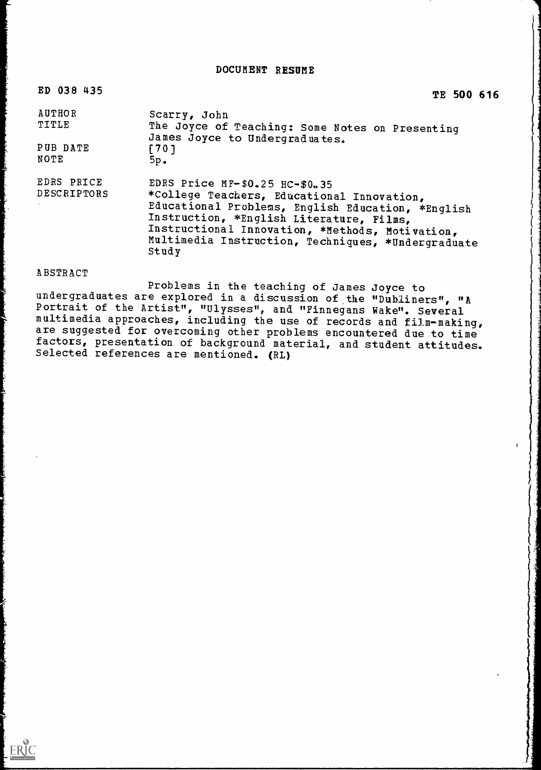DOCUMENT RESUME

| ED 038 435                | TE 500 616                                                                                                                                                                                                                                                                                      |
|---------------------------|-------------------------------------------------------------------------------------------------------------------------------------------------------------------------------------------------------------------------------------------------------------------------------------------------|
| <b>AUTHOR</b><br>TITLE    | Scarry, John<br>The Joyce of Teaching: Some Notes on Presenting<br>James Joyce to Undergraduates.                                                                                                                                                                                               |
| PUB DATE<br><b>NOTE</b>   | $[701$<br>$5p_{\bullet}$                                                                                                                                                                                                                                                                        |
| EDRS PRICE<br>DESCRIPTORS | EDRS Price MF-\$0.25 HC-\$0.35<br>*College Teachers, Educational Innovation,<br>Educational Problems, English Education, *English<br>Instruction, *English Literature, Films,<br>Instructional Innovation, *Methods, Motivation,<br>Multimedia Instruction, Techniques, *Undergraduate<br>Study |

# ABSTRACT

 $\begin{array}{c}\n\begin{array}{c}\n\hline\n\end{array}\n\end{array}$ 

Problems in the teaching of James Joyce to undergraduates are explored in a discussion of the "Dubliners", "A Portrait of the Artist", "Ulysses", and "Finnegans Wake". Several multimedia approaches, including the use of records and film-making, are suggested for overcoming other problems encountered due to time factors, presentation of background material, and student attitudes. Selected references are mentioned. (RL)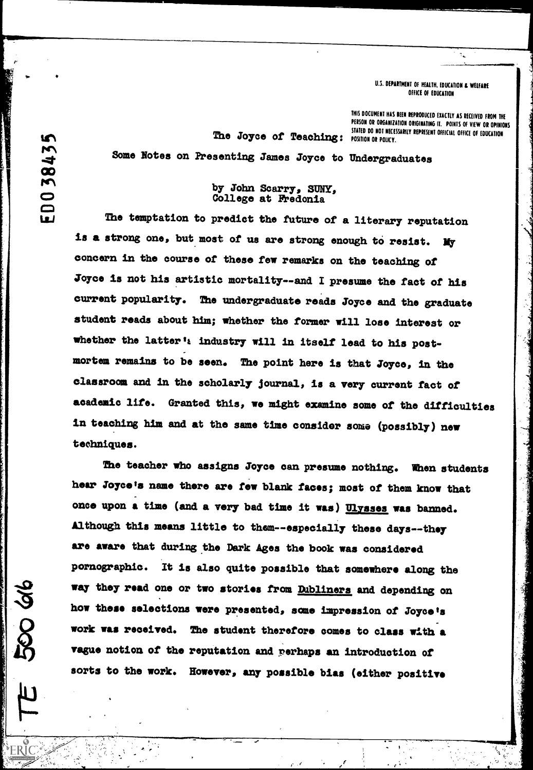### U.S. DEPARTMENT OF HEALTH, EDUCATION & WELFARE OFFICE Of EDUCATION

 $\mathcal{I}_\infty$ 

THIS DOCUMENT HAS BEEN REPRODUCED EXACTLY AS RECEIVED FROM THE PERSON OR ORGANIZATION ORIGINATING IT. POINTS OF VIEW OR OPINIONS<br>STATED DO NOT NECESSARILY REPRESENT OFFICIAL OFFICE OF EDUCATION The Joyce of Teaching: DIRIED DO NOT RELESSARILY REPRESENT OFFICEAL OFFICE OF EDUCATION

"4

fg1 Some Notes on Presenting James Joyce to Undergraduates

# by John Scarry, SUNY, College at Fredonia

The temptation to predict the future of a literary reputation is a strong one, but most of us are strong enough to resist. My concern in the course of these few remarks on the teaching of Joyce is not his artistic mortality--and I presume the fact of his current popularity. The undergraduate reads Joyce and the graduate student reads about him; whether the former will lose interest or whether the latter's industry will in itself lead to his postmortem remains to be seen. The point here is that Joyce, in the classroom and in the scholarly journal, is a very current fact of academic life. Granted this, we might essmine some of the difficulties in teaching him and at the same time consider some (possibly) new techniques.

The teacher who assigns Joyce can presume nothing. When students hear Joyce's name there are few blank faces; most of them know that once upon a time (and a very bad time it was) Ulysses was banned. Although this means little to them--especially these days--they are aware that during the Dark Ages the book was considered pornographic. It is also quite possible that somewhere along the way they read one or two stories from Dubliners and depending on how these selections were presented, acme impression of Joyce's work was received. The student therefore comes to class with a vague notion of the reputation and perhaps an introduction of sorts to the work. However, any possible bias (either positive

f

 $A = \begin{bmatrix} 1 & 1 & 1 \\ 1 & 1 & 1 \end{bmatrix}$ 

m 384 EDO

on al

'ERIC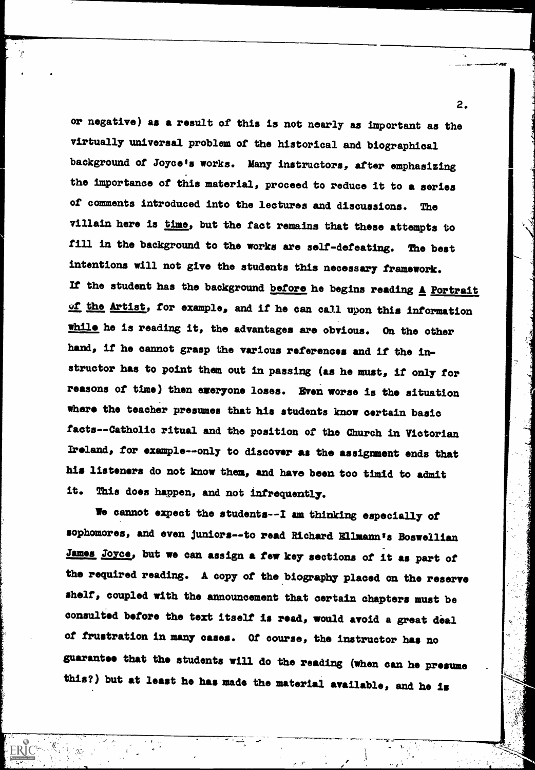or negative) as a result of this is not nearly as important as the virtually universal problem of the historical and biographical background of Joyce's works. Many instructors, after emphasizing the importance of this material, proceed to reduce it to a series of comments introduced into the lectures and discussions. The villain here is time, but the fact remains that these attempts to fill in the background to the works are self-defeating. The best intentions will not give the students this necessary framework. If the student has the background before he begins reading  $\triangle$  Portrait of the Artist, for example, and if he can call upon this information while he is reading it, the advantages are obvious. On the other hand, if he cannot grasp the various references and if the instructor has to point them out in passing (as he must, if only for reasons of time) then emeryone loses. Even worse is the situation where the teacher presumes that his students know certain basic facts -- Catholic ritual and the position of the Church in Victorian Ireland, for example--only to discover as the assignment ends that his listeners do not know them, and have been too timid to admit it. This does happen, and not infrequently.

We cannot expect the students--I am thinking especially of sophomores, and even juniors--to read Richard Ellmann's Boswellian James Joyce, but we can assign a few key sections of it as part of the required reading. A copy of the biography placed on the reserve shelf, coupled with the announcement that certain chapters must be consulted before the text itself is read, would avoid a great deal of frustration in many cases. Of course, the instructor has no guarantee that the students will do the reading (when can he presume this?) but at least he has made the material available, and he is

 $\mathbf{r}=\mathbf{r}^*$ 

مري

2.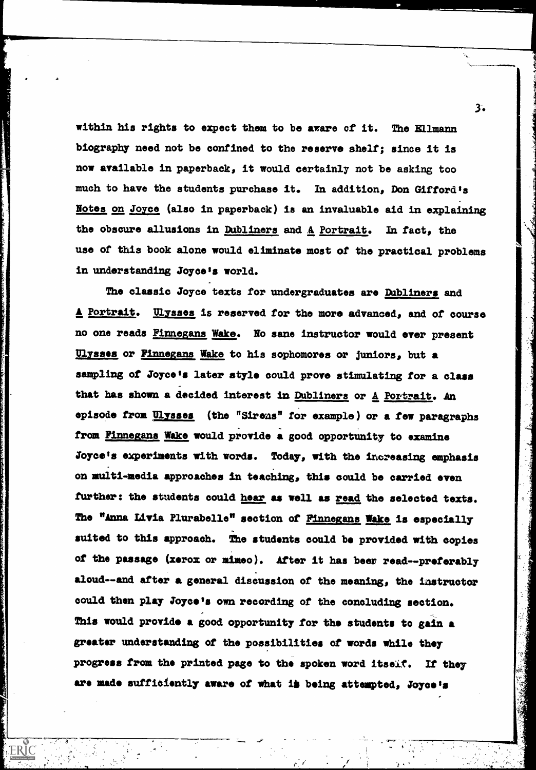within his rights to expect them to be aware of it. The Ellmann biography need not be confined to the reserve shelf; since it is now available in paperback, it would certainly not be asking too much to have the students purchase it. In addition, Don Gifford's Notes on Joyce (also in paperback) is an invaluable aid in explaining the obscure allusions in Dubliners and A Portrait. In tact, the use of this book alone would eliminate most of the practical problems in understanding Joyce's world.

The classic Joyce texts for undergraduates are Dubliners and A Portrait. Ulysses is reserved for the more advanced, and of course no one reads Finnegans Wake. No sane instructor would ever present Ulysses or Finnegans Wake to his sophomores or juniors, but a sampling of Joyce's later style could prove stimulating for a class that has shown a decided interest in Dubliners or A Portrait. An episode from Ulysses (the "Sirens" for example) or a few paragraphs from Finnegans Wake would provide a good opportunity to examine Joyce's experiments with words. Today, with the increasing emphasis on multi-media approaches in teaching, this could be carried even further: the students could hear as well as read the selected texts. The "Anna Livia Plurabelle" section of Finnegans Wake is especially suited to this approach. The students could be provided with copies of the passage (xerox or mimeo). After it has beer read-- preferably aloud--and after a general discussion of the meaning, the instructor could then play Joyce's own recording of the concluding section. This would provide a good opportunity for the students to gain a greater understanding of the possibilities of words while they progress from the printed page to the spoken word itself. If they are made sufficiently aware of what is being attempted, Joyce's

 $\mathbf{r} \in \mathcal{C}$ 

 $\gamma \sim 1$ 

ERIC

3.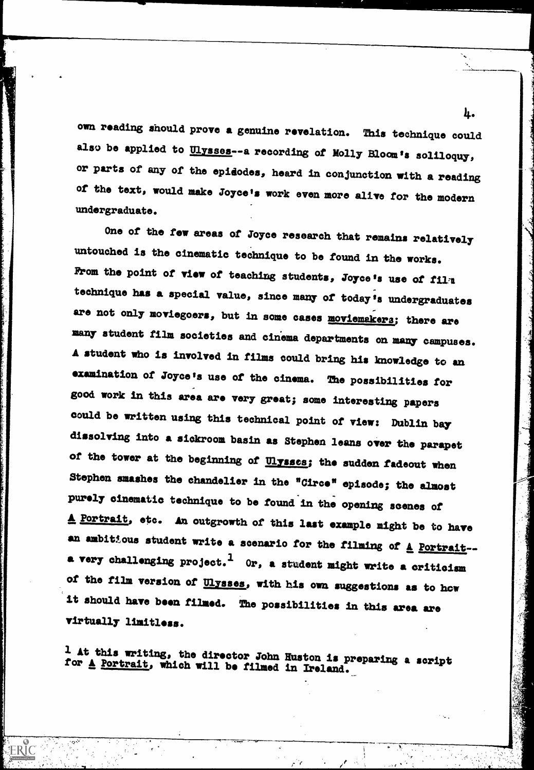own reading should prove a genuine revelation. This technique could also be applied to Ulysses--a recording of Molly Bloom's soliloquy, or parts of any of the epidodes, heard in conjunction with a reading of the text, would make Joyce's work even more alive for the modern undergraduate.

One of the few areas of Joyce research that remains relatively untouched is the cinematic technique to be found in the works. From the point of view of teaching students, Joyce's use of film technique has a special value, since many of today's undergraduates are not only moviegoers, but in some cases moviemakers; there are many student film societies and cinema departments on many campuses. A student who is involved in films could bring his knowledge to an examination of Joyce's use of the cinema. The possibilities for good work in this area are very great; some interesting papers could be written using this technical point of view: Dublin bay dissolving into a sickroom basin as Stephen leans over the parapet of the tower at the beginning of **Ulysses**; the sudden fadeout when Stephen smashes the chandelier in the "Circe" episode; the almost purely cinematic technique to be found in the opening scenes of A Portrait, etc. An outgrowth of this last example might be to have an ambitious student write a scenario for the filming of  $\underline{A}$  Portrait-a very challenging project.<sup>1</sup> Or, a student might write a criticism of the film version of **Ulysses**, with his own suggestions as to how it should have been filmed. The possibilities in this area are virtually limitless.

riting, the director John Huston is preparing a script for A Portrait, which will be filmed in Ireland.

أتوالي

**ERIC** 

Ŀ.